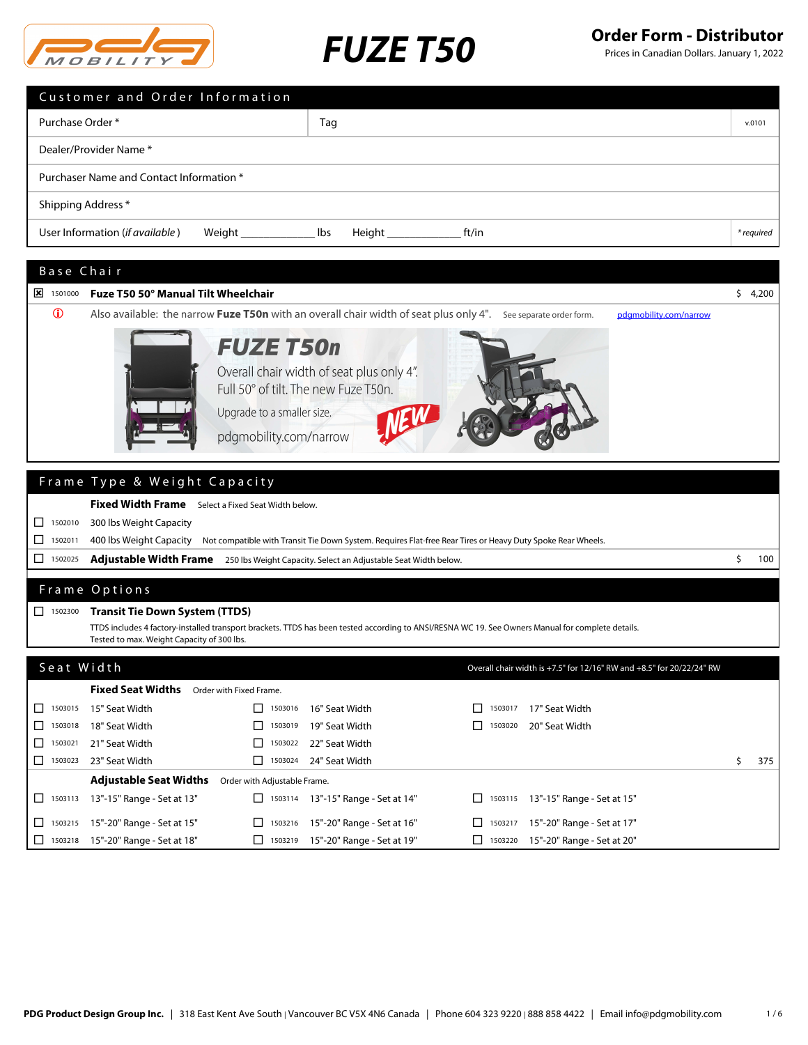

Prices in Canadian Dollars. January 1, 2022

| Customer and Order Information                                                                                                                                |            |
|---------------------------------------------------------------------------------------------------------------------------------------------------------------|------------|
| Purchase Order*<br>Tag                                                                                                                                        | v.0101     |
| Dealer/Provider Name*                                                                                                                                         |            |
| Purchaser Name and Contact Information *                                                                                                                      |            |
| Shipping Address*                                                                                                                                             |            |
| User Information (if available)<br>lbs<br>ft/in                                                                                                               | * required |
| Base Chair                                                                                                                                                    |            |
| Fuze T50 50° Manual Tilt Wheelchair<br>$\sqrt{2}$ 1501000                                                                                                     | \$4,200    |
| $\mathbf 0$<br>Also available: the narrow Fuze T50n with an overall chair width of seat plus only 4". See separate order form.<br>pdgmobility.com/narrow      |            |
| <b>FUZE T50n</b><br>Overall chair width of seat plus only 4".<br>Full 50° of tilt. The new Fuze T50n.<br>Upgrade to a smaller size.<br>pdgmobility.com/narrow |            |
| Frame Type & Weight Capacity                                                                                                                                  |            |
| Fixed Width Frame Select a Fixed Seat Width below.                                                                                                            |            |
| 1502010<br>300 lbs Weight Capacity<br>ப                                                                                                                       |            |
| 400 lbs Weight Capacity<br>П<br>Not compatible with Transit Tie Down System. Requires Flat-free Rear Tires or Heavy Duty Spoke Rear Wheels.<br>1502011        |            |
| □<br>1502025<br><b>Adjustable Width Frame</b><br>250 lbs Weight Capacity. Select an Adjustable Seat Width below.                                              | \$<br>100  |
|                                                                                                                                                               |            |

## Frame Options

|  |  |  | □ 1502300 Transit Tie Down System (TTDS) |  |  |
|--|--|--|------------------------------------------|--|--|
|--|--|--|------------------------------------------|--|--|

TTDS includes 4 factory-installed transport brackets. TTDS has been tested according to ANSI/RESNA WC 19. See Owners Manual for complete details. Tested to max. Weight Capacity of 300 lbs.

### Seat Width

|                               | <b>Fixed Seat Widths</b>                  | Order with Fixed Frame.      |                                      |                |                                      |     |
|-------------------------------|-------------------------------------------|------------------------------|--------------------------------------|----------------|--------------------------------------|-----|
|                               | $\Box$ 1503015 15" Seat Width             | 1503016                      | 16" Seat Width                       | $\Box$ 1503017 | 17" Seat Width                       |     |
|                               | □ 1503018 18" Seat Width                  | $\Box$ 1503019               | 19" Seat Width                       | $\Box$ 1503020 | 20" Seat Width                       |     |
| $\boxed{\phantom{0}}$ 1503021 | 21" Seat Width                            | $\Box$ 1503022               | 22" Seat Width                       |                |                                      |     |
| $\Box$ 1503023                | 23" Seat Width                            | $\Box$ 1503024               | 24" Seat Width                       |                |                                      | 375 |
|                               | <b>Adjustable Seat Widths</b>             | Order with Adjustable Frame. |                                      |                |                                      |     |
|                               | $\Box$ 1503113 13"-15" Range - Set at 13" |                              | □ 1503114 13"-15" Range - Set at 14" |                | □ 1503115 13"-15" Range - Set at 15" |     |
|                               | $\Box$ 1503215 15"-20" Range - Set at 15" | 11303216                     | 15"-20" Range - Set at 16"           | 1503217        | 15"-20" Range - Set at 17"           |     |
|                               | □ 1503218 15"-20" Range - Set at 18"      | $\Box$ 1503219               | 15"-20" Range - Set at 19"           |                | 1503220 15"-20" Range - Set at 20"   |     |

Overall chair width is +7.5" for 12/16" RW and +8.5" for 20/22/24" RW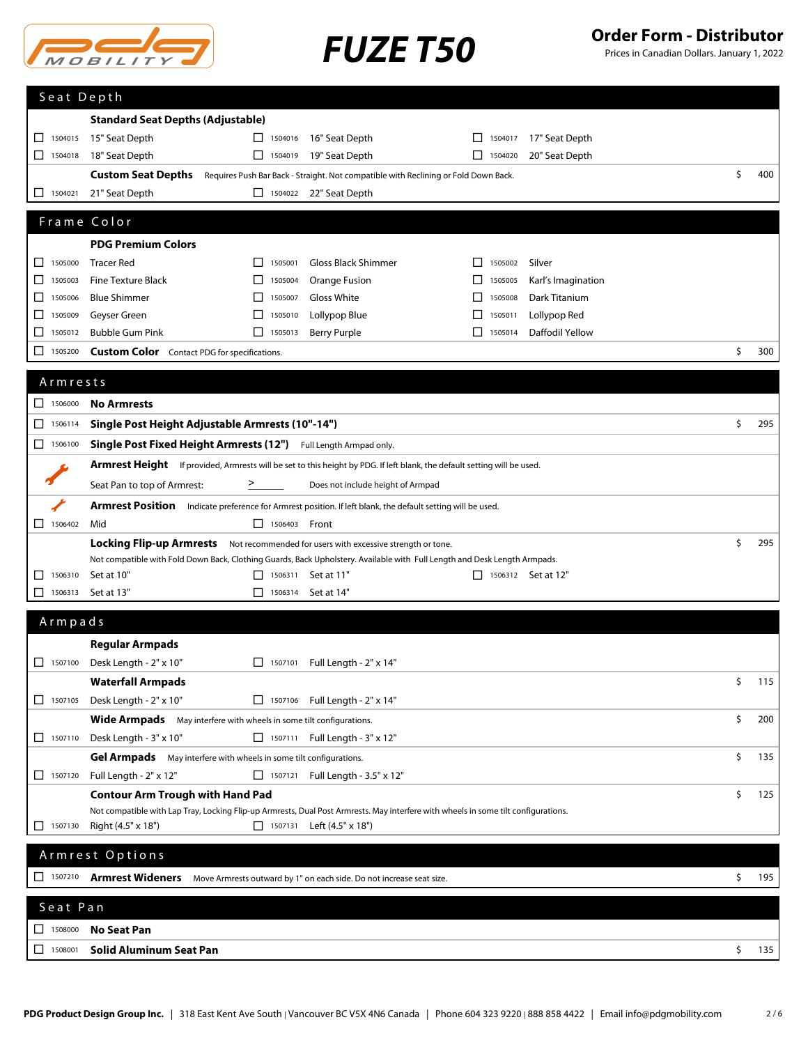

Prices in Canadian Dollars. January 1, 2022

| <b>Standard Seat Depths (Adjustable)</b><br>1504015<br>15" Seat Depth<br>16" Seat Depth<br>17" Seat Depth<br>□<br>П<br>1504016<br>П<br>1504017<br>1504018<br>18" Seat Depth<br>$\Box$ 1504019<br>19" Seat Depth<br>$\Box$ 1504020<br>20" Seat Depth<br>\$<br>400<br>Custom Seat Depths Requires Push Bar Back - Straight. Not compatible with Reclining or Fold Down Back.<br>21" Seat Depth<br>$\Box$ 1504022 22" Seat Depth<br>1504021<br>⊔<br>Frame Color<br><b>PDG Premium Colors</b><br><b>Gloss Black Shimmer</b><br>1505000<br><b>Tracer Red</b><br>$\Box$<br>1505001<br>1505002<br>Silver<br>ப<br>$\perp$<br>1505003<br><b>Fine Texture Black</b><br>1505004<br>⊔<br>⊔<br>Orange Fusion<br>1505005<br>Karl's Imagination<br><b>Blue Shimmer</b><br>Gloss White<br>Dark Titanium<br>1505006<br>П<br>1505007<br>1505008<br>⊔<br>ΙI<br>Geyser Green<br>Lollypop Blue<br>Lollypop Red<br>1505010<br>1505009<br>1505011<br>ப<br><b>Bubble Gum Pink</b><br>Daffodil Yellow<br>Berry Purple<br>□<br>1505012<br>П<br>1505013<br>П<br>1505014<br>\$<br>1505200<br>300<br>ப<br><b>Custom Color</b> Contact PDG for specifications.<br>Armrests<br>$\Box$ 1506000<br><b>No Armrests</b><br>\$<br>1506114<br>Single Post Height Adjustable Armrests (10"-14")<br>295<br>ப<br>1506100<br>Single Post Fixed Height Armrests (12") Full Length Armpad only.<br><b>Armrest Height</b> If provided, Armrests will be set to this height by PDG. If left blank, the default setting will be used.<br>Seat Pan to top of Armrest:<br>Does not include height of Armpad<br>$\geq$<br>Armrest Position Indicate preference for Armrest position. If left blank, the default setting will be used.<br>Mid<br>$\Box$ 1506403 Front<br>\$<br>295<br>Locking Flip-up Armrests Not recommended for users with excessive strength or tone.<br>Not compatible with Fold Down Back, Clothing Guards, Back Upholstery. Available with Full Length and Desk Length Armpads.<br>1506310<br>Set at 10"<br>1506311 Set at 11"<br>П<br>$\Box$ 1506312 Set at 12"<br>⊔<br>1506313<br>Set at 13"<br>П<br>1506314<br>Set at 14"<br>⊔<br>Armpads<br><b>Regular Armpads</b><br>□ 1507100 Desk Length - 2" x 10"<br>□ 1507101 Full Length - 2" x 14"<br><b>Waterfall Armpads</b><br>\$<br>115<br>Desk Length - 2" x 10"<br>$\Box$ 1507105<br>□ 1507106 Full Length - 2" x 14"<br>\$<br>200<br>Wide Armpads May interfere with wheels in some tilt configurations.<br>□ 1507111 Full Length - 3" x 12"<br>$\Box$ 1507110<br>Desk Length - 3" x 10"<br>\$<br>Gel Armpads May interfere with wheels in some tilt configurations.<br>135<br>1507120<br>Full Length - 2" x 12"<br>$\Box$ 1507121<br>Full Length - 3.5" x 12" |
|----------------------------------------------------------------------------------------------------------------------------------------------------------------------------------------------------------------------------------------------------------------------------------------------------------------------------------------------------------------------------------------------------------------------------------------------------------------------------------------------------------------------------------------------------------------------------------------------------------------------------------------------------------------------------------------------------------------------------------------------------------------------------------------------------------------------------------------------------------------------------------------------------------------------------------------------------------------------------------------------------------------------------------------------------------------------------------------------------------------------------------------------------------------------------------------------------------------------------------------------------------------------------------------------------------------------------------------------------------------------------------------------------------------------------------------------------------------------------------------------------------------------------------------------------------------------------------------------------------------------------------------------------------------------------------------------------------------------------------------------------------------------------------------------------------------------------------------------------------------------------------------------------------------------------------------------------------------------------------------------------------------------------------------------------------------------------------------------------------------------------------------------------------------------------------------------------------------------------------------------------------------------------------------------------------------------------------------------------------------------------------------------------------------------------------------------------------------------------------------------------------------------------------------------------------------------------------------------------------------------------------------------------------------------------------------|
|                                                                                                                                                                                                                                                                                                                                                                                                                                                                                                                                                                                                                                                                                                                                                                                                                                                                                                                                                                                                                                                                                                                                                                                                                                                                                                                                                                                                                                                                                                                                                                                                                                                                                                                                                                                                                                                                                                                                                                                                                                                                                                                                                                                                                                                                                                                                                                                                                                                                                                                                                                                                                                                                                        |
|                                                                                                                                                                                                                                                                                                                                                                                                                                                                                                                                                                                                                                                                                                                                                                                                                                                                                                                                                                                                                                                                                                                                                                                                                                                                                                                                                                                                                                                                                                                                                                                                                                                                                                                                                                                                                                                                                                                                                                                                                                                                                                                                                                                                                                                                                                                                                                                                                                                                                                                                                                                                                                                                                        |
|                                                                                                                                                                                                                                                                                                                                                                                                                                                                                                                                                                                                                                                                                                                                                                                                                                                                                                                                                                                                                                                                                                                                                                                                                                                                                                                                                                                                                                                                                                                                                                                                                                                                                                                                                                                                                                                                                                                                                                                                                                                                                                                                                                                                                                                                                                                                                                                                                                                                                                                                                                                                                                                                                        |
|                                                                                                                                                                                                                                                                                                                                                                                                                                                                                                                                                                                                                                                                                                                                                                                                                                                                                                                                                                                                                                                                                                                                                                                                                                                                                                                                                                                                                                                                                                                                                                                                                                                                                                                                                                                                                                                                                                                                                                                                                                                                                                                                                                                                                                                                                                                                                                                                                                                                                                                                                                                                                                                                                        |
|                                                                                                                                                                                                                                                                                                                                                                                                                                                                                                                                                                                                                                                                                                                                                                                                                                                                                                                                                                                                                                                                                                                                                                                                                                                                                                                                                                                                                                                                                                                                                                                                                                                                                                                                                                                                                                                                                                                                                                                                                                                                                                                                                                                                                                                                                                                                                                                                                                                                                                                                                                                                                                                                                        |
|                                                                                                                                                                                                                                                                                                                                                                                                                                                                                                                                                                                                                                                                                                                                                                                                                                                                                                                                                                                                                                                                                                                                                                                                                                                                                                                                                                                                                                                                                                                                                                                                                                                                                                                                                                                                                                                                                                                                                                                                                                                                                                                                                                                                                                                                                                                                                                                                                                                                                                                                                                                                                                                                                        |
|                                                                                                                                                                                                                                                                                                                                                                                                                                                                                                                                                                                                                                                                                                                                                                                                                                                                                                                                                                                                                                                                                                                                                                                                                                                                                                                                                                                                                                                                                                                                                                                                                                                                                                                                                                                                                                                                                                                                                                                                                                                                                                                                                                                                                                                                                                                                                                                                                                                                                                                                                                                                                                                                                        |
|                                                                                                                                                                                                                                                                                                                                                                                                                                                                                                                                                                                                                                                                                                                                                                                                                                                                                                                                                                                                                                                                                                                                                                                                                                                                                                                                                                                                                                                                                                                                                                                                                                                                                                                                                                                                                                                                                                                                                                                                                                                                                                                                                                                                                                                                                                                                                                                                                                                                                                                                                                                                                                                                                        |
|                                                                                                                                                                                                                                                                                                                                                                                                                                                                                                                                                                                                                                                                                                                                                                                                                                                                                                                                                                                                                                                                                                                                                                                                                                                                                                                                                                                                                                                                                                                                                                                                                                                                                                                                                                                                                                                                                                                                                                                                                                                                                                                                                                                                                                                                                                                                                                                                                                                                                                                                                                                                                                                                                        |
|                                                                                                                                                                                                                                                                                                                                                                                                                                                                                                                                                                                                                                                                                                                                                                                                                                                                                                                                                                                                                                                                                                                                                                                                                                                                                                                                                                                                                                                                                                                                                                                                                                                                                                                                                                                                                                                                                                                                                                                                                                                                                                                                                                                                                                                                                                                                                                                                                                                                                                                                                                                                                                                                                        |
|                                                                                                                                                                                                                                                                                                                                                                                                                                                                                                                                                                                                                                                                                                                                                                                                                                                                                                                                                                                                                                                                                                                                                                                                                                                                                                                                                                                                                                                                                                                                                                                                                                                                                                                                                                                                                                                                                                                                                                                                                                                                                                                                                                                                                                                                                                                                                                                                                                                                                                                                                                                                                                                                                        |
|                                                                                                                                                                                                                                                                                                                                                                                                                                                                                                                                                                                                                                                                                                                                                                                                                                                                                                                                                                                                                                                                                                                                                                                                                                                                                                                                                                                                                                                                                                                                                                                                                                                                                                                                                                                                                                                                                                                                                                                                                                                                                                                                                                                                                                                                                                                                                                                                                                                                                                                                                                                                                                                                                        |
|                                                                                                                                                                                                                                                                                                                                                                                                                                                                                                                                                                                                                                                                                                                                                                                                                                                                                                                                                                                                                                                                                                                                                                                                                                                                                                                                                                                                                                                                                                                                                                                                                                                                                                                                                                                                                                                                                                                                                                                                                                                                                                                                                                                                                                                                                                                                                                                                                                                                                                                                                                                                                                                                                        |
|                                                                                                                                                                                                                                                                                                                                                                                                                                                                                                                                                                                                                                                                                                                                                                                                                                                                                                                                                                                                                                                                                                                                                                                                                                                                                                                                                                                                                                                                                                                                                                                                                                                                                                                                                                                                                                                                                                                                                                                                                                                                                                                                                                                                                                                                                                                                                                                                                                                                                                                                                                                                                                                                                        |
|                                                                                                                                                                                                                                                                                                                                                                                                                                                                                                                                                                                                                                                                                                                                                                                                                                                                                                                                                                                                                                                                                                                                                                                                                                                                                                                                                                                                                                                                                                                                                                                                                                                                                                                                                                                                                                                                                                                                                                                                                                                                                                                                                                                                                                                                                                                                                                                                                                                                                                                                                                                                                                                                                        |
|                                                                                                                                                                                                                                                                                                                                                                                                                                                                                                                                                                                                                                                                                                                                                                                                                                                                                                                                                                                                                                                                                                                                                                                                                                                                                                                                                                                                                                                                                                                                                                                                                                                                                                                                                                                                                                                                                                                                                                                                                                                                                                                                                                                                                                                                                                                                                                                                                                                                                                                                                                                                                                                                                        |
|                                                                                                                                                                                                                                                                                                                                                                                                                                                                                                                                                                                                                                                                                                                                                                                                                                                                                                                                                                                                                                                                                                                                                                                                                                                                                                                                                                                                                                                                                                                                                                                                                                                                                                                                                                                                                                                                                                                                                                                                                                                                                                                                                                                                                                                                                                                                                                                                                                                                                                                                                                                                                                                                                        |
|                                                                                                                                                                                                                                                                                                                                                                                                                                                                                                                                                                                                                                                                                                                                                                                                                                                                                                                                                                                                                                                                                                                                                                                                                                                                                                                                                                                                                                                                                                                                                                                                                                                                                                                                                                                                                                                                                                                                                                                                                                                                                                                                                                                                                                                                                                                                                                                                                                                                                                                                                                                                                                                                                        |
|                                                                                                                                                                                                                                                                                                                                                                                                                                                                                                                                                                                                                                                                                                                                                                                                                                                                                                                                                                                                                                                                                                                                                                                                                                                                                                                                                                                                                                                                                                                                                                                                                                                                                                                                                                                                                                                                                                                                                                                                                                                                                                                                                                                                                                                                                                                                                                                                                                                                                                                                                                                                                                                                                        |
|                                                                                                                                                                                                                                                                                                                                                                                                                                                                                                                                                                                                                                                                                                                                                                                                                                                                                                                                                                                                                                                                                                                                                                                                                                                                                                                                                                                                                                                                                                                                                                                                                                                                                                                                                                                                                                                                                                                                                                                                                                                                                                                                                                                                                                                                                                                                                                                                                                                                                                                                                                                                                                                                                        |
|                                                                                                                                                                                                                                                                                                                                                                                                                                                                                                                                                                                                                                                                                                                                                                                                                                                                                                                                                                                                                                                                                                                                                                                                                                                                                                                                                                                                                                                                                                                                                                                                                                                                                                                                                                                                                                                                                                                                                                                                                                                                                                                                                                                                                                                                                                                                                                                                                                                                                                                                                                                                                                                                                        |
|                                                                                                                                                                                                                                                                                                                                                                                                                                                                                                                                                                                                                                                                                                                                                                                                                                                                                                                                                                                                                                                                                                                                                                                                                                                                                                                                                                                                                                                                                                                                                                                                                                                                                                                                                                                                                                                                                                                                                                                                                                                                                                                                                                                                                                                                                                                                                                                                                                                                                                                                                                                                                                                                                        |
|                                                                                                                                                                                                                                                                                                                                                                                                                                                                                                                                                                                                                                                                                                                                                                                                                                                                                                                                                                                                                                                                                                                                                                                                                                                                                                                                                                                                                                                                                                                                                                                                                                                                                                                                                                                                                                                                                                                                                                                                                                                                                                                                                                                                                                                                                                                                                                                                                                                                                                                                                                                                                                                                                        |
|                                                                                                                                                                                                                                                                                                                                                                                                                                                                                                                                                                                                                                                                                                                                                                                                                                                                                                                                                                                                                                                                                                                                                                                                                                                                                                                                                                                                                                                                                                                                                                                                                                                                                                                                                                                                                                                                                                                                                                                                                                                                                                                                                                                                                                                                                                                                                                                                                                                                                                                                                                                                                                                                                        |
|                                                                                                                                                                                                                                                                                                                                                                                                                                                                                                                                                                                                                                                                                                                                                                                                                                                                                                                                                                                                                                                                                                                                                                                                                                                                                                                                                                                                                                                                                                                                                                                                                                                                                                                                                                                                                                                                                                                                                                                                                                                                                                                                                                                                                                                                                                                                                                                                                                                                                                                                                                                                                                                                                        |
|                                                                                                                                                                                                                                                                                                                                                                                                                                                                                                                                                                                                                                                                                                                                                                                                                                                                                                                                                                                                                                                                                                                                                                                                                                                                                                                                                                                                                                                                                                                                                                                                                                                                                                                                                                                                                                                                                                                                                                                                                                                                                                                                                                                                                                                                                                                                                                                                                                                                                                                                                                                                                                                                                        |
|                                                                                                                                                                                                                                                                                                                                                                                                                                                                                                                                                                                                                                                                                                                                                                                                                                                                                                                                                                                                                                                                                                                                                                                                                                                                                                                                                                                                                                                                                                                                                                                                                                                                                                                                                                                                                                                                                                                                                                                                                                                                                                                                                                                                                                                                                                                                                                                                                                                                                                                                                                                                                                                                                        |
|                                                                                                                                                                                                                                                                                                                                                                                                                                                                                                                                                                                                                                                                                                                                                                                                                                                                                                                                                                                                                                                                                                                                                                                                                                                                                                                                                                                                                                                                                                                                                                                                                                                                                                                                                                                                                                                                                                                                                                                                                                                                                                                                                                                                                                                                                                                                                                                                                                                                                                                                                                                                                                                                                        |
|                                                                                                                                                                                                                                                                                                                                                                                                                                                                                                                                                                                                                                                                                                                                                                                                                                                                                                                                                                                                                                                                                                                                                                                                                                                                                                                                                                                                                                                                                                                                                                                                                                                                                                                                                                                                                                                                                                                                                                                                                                                                                                                                                                                                                                                                                                                                                                                                                                                                                                                                                                                                                                                                                        |
|                                                                                                                                                                                                                                                                                                                                                                                                                                                                                                                                                                                                                                                                                                                                                                                                                                                                                                                                                                                                                                                                                                                                                                                                                                                                                                                                                                                                                                                                                                                                                                                                                                                                                                                                                                                                                                                                                                                                                                                                                                                                                                                                                                                                                                                                                                                                                                                                                                                                                                                                                                                                                                                                                        |
|                                                                                                                                                                                                                                                                                                                                                                                                                                                                                                                                                                                                                                                                                                                                                                                                                                                                                                                                                                                                                                                                                                                                                                                                                                                                                                                                                                                                                                                                                                                                                                                                                                                                                                                                                                                                                                                                                                                                                                                                                                                                                                                                                                                                                                                                                                                                                                                                                                                                                                                                                                                                                                                                                        |
|                                                                                                                                                                                                                                                                                                                                                                                                                                                                                                                                                                                                                                                                                                                                                                                                                                                                                                                                                                                                                                                                                                                                                                                                                                                                                                                                                                                                                                                                                                                                                                                                                                                                                                                                                                                                                                                                                                                                                                                                                                                                                                                                                                                                                                                                                                                                                                                                                                                                                                                                                                                                                                                                                        |
|                                                                                                                                                                                                                                                                                                                                                                                                                                                                                                                                                                                                                                                                                                                                                                                                                                                                                                                                                                                                                                                                                                                                                                                                                                                                                                                                                                                                                                                                                                                                                                                                                                                                                                                                                                                                                                                                                                                                                                                                                                                                                                                                                                                                                                                                                                                                                                                                                                                                                                                                                                                                                                                                                        |
|                                                                                                                                                                                                                                                                                                                                                                                                                                                                                                                                                                                                                                                                                                                                                                                                                                                                                                                                                                                                                                                                                                                                                                                                                                                                                                                                                                                                                                                                                                                                                                                                                                                                                                                                                                                                                                                                                                                                                                                                                                                                                                                                                                                                                                                                                                                                                                                                                                                                                                                                                                                                                                                                                        |
|                                                                                                                                                                                                                                                                                                                                                                                                                                                                                                                                                                                                                                                                                                                                                                                                                                                                                                                                                                                                                                                                                                                                                                                                                                                                                                                                                                                                                                                                                                                                                                                                                                                                                                                                                                                                                                                                                                                                                                                                                                                                                                                                                                                                                                                                                                                                                                                                                                                                                                                                                                                                                                                                                        |
|                                                                                                                                                                                                                                                                                                                                                                                                                                                                                                                                                                                                                                                                                                                                                                                                                                                                                                                                                                                                                                                                                                                                                                                                                                                                                                                                                                                                                                                                                                                                                                                                                                                                                                                                                                                                                                                                                                                                                                                                                                                                                                                                                                                                                                                                                                                                                                                                                                                                                                                                                                                                                                                                                        |
|                                                                                                                                                                                                                                                                                                                                                                                                                                                                                                                                                                                                                                                                                                                                                                                                                                                                                                                                                                                                                                                                                                                                                                                                                                                                                                                                                                                                                                                                                                                                                                                                                                                                                                                                                                                                                                                                                                                                                                                                                                                                                                                                                                                                                                                                                                                                                                                                                                                                                                                                                                                                                                                                                        |
| \$<br><b>Contour Arm Trough with Hand Pad</b><br>125                                                                                                                                                                                                                                                                                                                                                                                                                                                                                                                                                                                                                                                                                                                                                                                                                                                                                                                                                                                                                                                                                                                                                                                                                                                                                                                                                                                                                                                                                                                                                                                                                                                                                                                                                                                                                                                                                                                                                                                                                                                                                                                                                                                                                                                                                                                                                                                                                                                                                                                                                                                                                                   |
| Not compatible with Lap Tray, Locking Flip-up Armrests, Dual Post Armrests. May interfere with wheels in some tilt configurations.                                                                                                                                                                                                                                                                                                                                                                                                                                                                                                                                                                                                                                                                                                                                                                                                                                                                                                                                                                                                                                                                                                                                                                                                                                                                                                                                                                                                                                                                                                                                                                                                                                                                                                                                                                                                                                                                                                                                                                                                                                                                                                                                                                                                                                                                                                                                                                                                                                                                                                                                                     |
| 1507130<br>Right (4.5" x 18")<br>$\Box$ 1507131<br>Left (4.5" x 18")<br>ப                                                                                                                                                                                                                                                                                                                                                                                                                                                                                                                                                                                                                                                                                                                                                                                                                                                                                                                                                                                                                                                                                                                                                                                                                                                                                                                                                                                                                                                                                                                                                                                                                                                                                                                                                                                                                                                                                                                                                                                                                                                                                                                                                                                                                                                                                                                                                                                                                                                                                                                                                                                                              |
| Armrest Options                                                                                                                                                                                                                                                                                                                                                                                                                                                                                                                                                                                                                                                                                                                                                                                                                                                                                                                                                                                                                                                                                                                                                                                                                                                                                                                                                                                                                                                                                                                                                                                                                                                                                                                                                                                                                                                                                                                                                                                                                                                                                                                                                                                                                                                                                                                                                                                                                                                                                                                                                                                                                                                                        |
| $\Box$ 1507210<br>Armrest Wideners Move Armrests outward by 1" on each side. Do not increase seat size.<br>\$<br>195                                                                                                                                                                                                                                                                                                                                                                                                                                                                                                                                                                                                                                                                                                                                                                                                                                                                                                                                                                                                                                                                                                                                                                                                                                                                                                                                                                                                                                                                                                                                                                                                                                                                                                                                                                                                                                                                                                                                                                                                                                                                                                                                                                                                                                                                                                                                                                                                                                                                                                                                                                   |
|                                                                                                                                                                                                                                                                                                                                                                                                                                                                                                                                                                                                                                                                                                                                                                                                                                                                                                                                                                                                                                                                                                                                                                                                                                                                                                                                                                                                                                                                                                                                                                                                                                                                                                                                                                                                                                                                                                                                                                                                                                                                                                                                                                                                                                                                                                                                                                                                                                                                                                                                                                                                                                                                                        |
| Seat Pan                                                                                                                                                                                                                                                                                                                                                                                                                                                                                                                                                                                                                                                                                                                                                                                                                                                                                                                                                                                                                                                                                                                                                                                                                                                                                                                                                                                                                                                                                                                                                                                                                                                                                                                                                                                                                                                                                                                                                                                                                                                                                                                                                                                                                                                                                                                                                                                                                                                                                                                                                                                                                                                                               |
| $\Box$ 1508000<br><b>No Seat Pan</b>                                                                                                                                                                                                                                                                                                                                                                                                                                                                                                                                                                                                                                                                                                                                                                                                                                                                                                                                                                                                                                                                                                                                                                                                                                                                                                                                                                                                                                                                                                                                                                                                                                                                                                                                                                                                                                                                                                                                                                                                                                                                                                                                                                                                                                                                                                                                                                                                                                                                                                                                                                                                                                                   |
| $\Box$ 1508001<br>Solid Aluminum Seat Pan<br>\$<br>135                                                                                                                                                                                                                                                                                                                                                                                                                                                                                                                                                                                                                                                                                                                                                                                                                                                                                                                                                                                                                                                                                                                                                                                                                                                                                                                                                                                                                                                                                                                                                                                                                                                                                                                                                                                                                                                                                                                                                                                                                                                                                                                                                                                                                                                                                                                                                                                                                                                                                                                                                                                                                                 |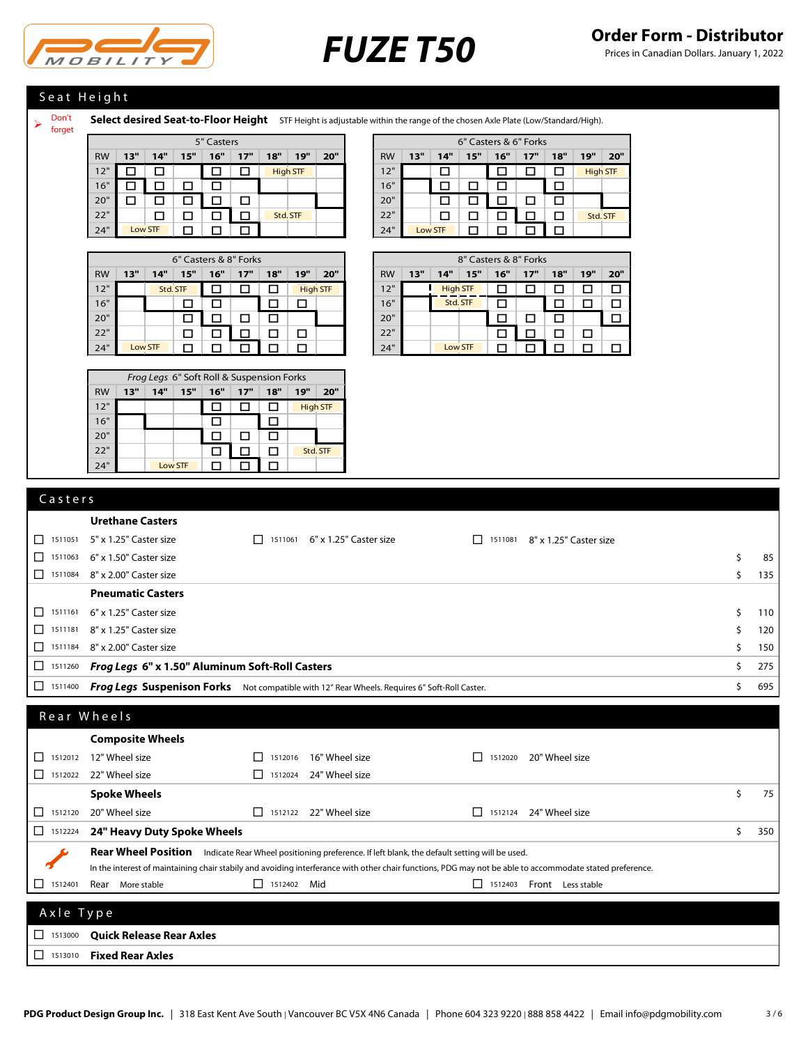

Prices in Canadian Dollars. January 1, 2022

# Seat Height

Don't forget

Select desired Seat-to-Floor Height STF Height is adjustable within the range of the chosen Axle Plate (Low/Standard/High).

|           |     |          |     |     | 6" Casters & 8" Forks |     |                 |     | 8" Casters & 8" Forks |           |     |                 |     |     |     |     |     |     |
|-----------|-----|----------|-----|-----|-----------------------|-----|-----------------|-----|-----------------------|-----------|-----|-----------------|-----|-----|-----|-----|-----|-----|
| <b>RW</b> | 13" | 14"      | 15" | 16" | 17"                   | 18" | 19"             | 20" |                       | <b>RW</b> | 13" | 14"             | 15" | 16" | 17" | 18" | 19" | 20" |
| 12"       |     | Std. STF |     |     |                       |     | <b>High STF</b> |     |                       | 12"       |     | <b>High STF</b> |     |     |     |     |     |     |
| 16"       |     |          |     |     |                       |     |                 |     |                       | 16"       |     | Std. STF        |     |     |     |     |     |     |
| 20"       |     |          |     |     |                       |     |                 |     |                       | 20"       |     |                 |     |     |     |     |     |     |
| 22"       |     |          |     |     |                       |     |                 |     |                       | 22"       |     |                 |     |     |     |     |     |     |
| 24"       |     | Low STF  |     |     |                       |     |                 |     |                       | 24"       |     | Low STF         |     |     |     |     |     |     |

| Frog Legs 6" Soft Roll & Suspension Forks |     |         |     |     |     |     |     |                 |  |  |
|-------------------------------------------|-----|---------|-----|-----|-----|-----|-----|-----------------|--|--|
| <b>RW</b>                                 | 13" | 14"     | 15" | 16" | 17" | 18" | 19" | 20"             |  |  |
| 12"                                       |     |         |     |     |     |     |     | <b>High STF</b> |  |  |
| 16"                                       |     |         |     | L   |     |     |     |                 |  |  |
| 20"                                       |     |         |     |     | H   |     |     |                 |  |  |
| 22"                                       |     |         |     | ட   |     |     |     | Std. STF        |  |  |
| 24"                                       |     | Low STF |     |     |     |     |     |                 |  |  |

|           |     |         |     | 5" Casters |     |     |                 |     |
|-----------|-----|---------|-----|------------|-----|-----|-----------------|-----|
| <b>RW</b> | 13" | 14"     | 15" | 16"        | 17" | 18" | 19"             | 20" |
| 12"       |     |         |     |            |     |     | <b>High STF</b> |     |
| 16"       |     |         |     |            |     |     |                 |     |
| 20"       |     |         |     |            |     |     |                 |     |
| 22"       |     |         |     |            |     |     | Std. STF        |     |
| 24"       |     | Low STF |     |            |     |     |                 |     |

|           | 8" Casters & 8" Forks |                 |          |     |     |     |     |     |  |  |  |  |  |
|-----------|-----------------------|-----------------|----------|-----|-----|-----|-----|-----|--|--|--|--|--|
| <b>RW</b> | 13"                   | 14"             | 15"      | 16" | 17" | 18" | 19" | 20" |  |  |  |  |  |
| 12"       |                       | <b>High STF</b> |          |     |     |     |     |     |  |  |  |  |  |
| 16"       |                       |                 | Std. STF |     |     |     |     |     |  |  |  |  |  |
| 20"       |                       |                 |          |     | ιı  | ш   |     |     |  |  |  |  |  |
| 22"       |                       |                 |          |     |     | ш   | П   |     |  |  |  |  |  |
| 24"       |                       |                 | Low STF  |     |     |     |     |     |  |  |  |  |  |

# **Urethane Casters** <sup>1511051</sup> 5" x 1.25" Caster size <sup>1511061</sup> 6" x 1.25" Caster size <sup>1511081</sup> 8" x 1.25" Caster size  $\Box$  1511063 6" x 1.50" Caster size  $\Box$  1511063 6" x 1.50" Caster size  $\Box$  1511084 8" x 2.00" Caster size  $\Box$  135 **Pneumatic Casters**  $\Box$  1511161 6" x 1.25" Caster size  $\Box$  110  $\Box$  1511181 8" x 1.25" Caster size  $\Box$  120  $\Box$  1511184 8" x 2.00" Caster size  $\Box$  150 <sup>1511260</sup> *Frog Legs* **6" x 1.50" Aluminum Soft-Roll Casters** \$ 275 <sup>1511400</sup> *Frog Legs* **Suspenison Forks** Not compatible with 12" Rear Wheels. Requires 6" Soft-Roll Caster. \$ 695 C a s t e r s

| Rear Wheels   |                                                                                                                                                          |                |                |                                                                                              |                   |    |     |
|---------------|----------------------------------------------------------------------------------------------------------------------------------------------------------|----------------|----------------|----------------------------------------------------------------------------------------------|-------------------|----|-----|
|               | <b>Composite Wheels</b>                                                                                                                                  |                |                |                                                                                              |                   |    |     |
| П<br>1512012  | 12" Wheel size                                                                                                                                           | 1512016        | 16" Wheel size | 1512020                                                                                      | 20" Wheel size    |    |     |
| ΙI<br>1512022 | 22" Wheel size                                                                                                                                           | 1512024<br>- 1 | 24" Wheel size |                                                                                              |                   |    |     |
|               | <b>Spoke Wheels</b>                                                                                                                                      |                |                |                                                                                              |                   | Ś. | 75  |
| П<br>1512120  | 20" Wheel size                                                                                                                                           | - 1<br>1512122 | 22" Wheel size | ΙI<br>1512124                                                                                | 24" Wheel size    |    |     |
| □<br>1512224  | 24" Heavy Duty Spoke Wheels                                                                                                                              |                |                |                                                                                              |                   | Ś  | 350 |
|               | <b>Rear Wheel Position</b>                                                                                                                               |                |                | Indicate Rear Wheel positioning preference. If left blank, the default setting will be used. |                   |    |     |
|               | In the interest of maintaining chair stabily and avoiding interferance with other chair functions, PDG may not be able to accommodate stated preference. |                |                |                                                                                              |                   |    |     |
| □<br>1512401  | Rear<br>More stable                                                                                                                                      | 1512402 Mid    |                | 1512403                                                                                      | Front Less stable |    |     |
|               |                                                                                                                                                          |                |                |                                                                                              |                   |    |     |
| Axle Type     |                                                                                                                                                          |                |                |                                                                                              |                   |    |     |
| П<br>1513000  | <b>Quick Release Rear Axles</b>                                                                                                                          |                |                |                                                                                              |                   |    |     |
| □<br>1513010  | <b>Fixed Rear Axles</b>                                                                                                                                  |                |                |                                                                                              |                   |    |     |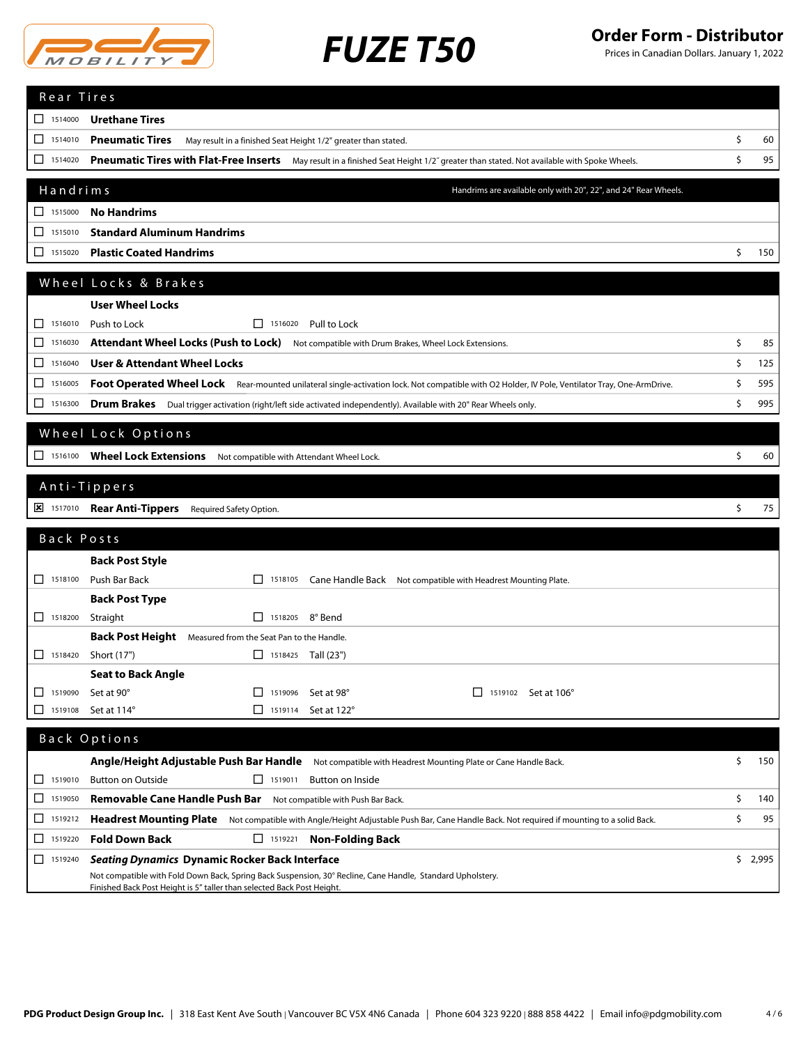

Prices in Canadian Dollars. January 1, 2022

| Rear Tires            |                                                                                                                                                                               |           |
|-----------------------|-------------------------------------------------------------------------------------------------------------------------------------------------------------------------------|-----------|
| $\Box$ 1514000        | <b>Urethane Tires</b>                                                                                                                                                         |           |
| 1514010<br>П          | <b>Pneumatic Tires</b><br>May result in a finished Seat Height 1/2" greater than stated.                                                                                      | \$<br>60  |
| 1514020<br>ப          | Pneumatic Tires with Flat-Free Inserts May result in a finished Seat Height 1/2" greater than stated. Not available with Spoke Wheels.                                        | \$<br>95  |
|                       |                                                                                                                                                                               |           |
| Handrims              | Handrims are available only with 20", 22", and 24" Rear Wheels.                                                                                                               |           |
| $\Box$ 1515000        | <b>No Handrims</b>                                                                                                                                                            |           |
| П<br>1515010          | <b>Standard Aluminum Handrims</b>                                                                                                                                             |           |
| ப<br>1515020          | <b>Plastic Coated Handrims</b>                                                                                                                                                | \$<br>150 |
|                       | Wheel Locks & Brakes                                                                                                                                                          |           |
|                       | <b>User Wheel Locks</b>                                                                                                                                                       |           |
| 1516010<br>ΙI         | Push to Lock<br>$\Box$ 1516020 Pull to Lock                                                                                                                                   |           |
| □<br>1516030          | Attendant Wheel Locks (Push to Lock) Not compatible with Drum Brakes, Wheel Lock Extensions.                                                                                  | \$<br>85  |
| ◻<br>1516040          | <b>User &amp; Attendant Wheel Locks</b>                                                                                                                                       | \$<br>125 |
| ◻<br>1516005          | Foot Operated Wheel Lock Rear-mounted unilateral single-activation lock. Not compatible with O2 Holder, IV Pole, Ventilator Tray, One-ArmDrive.                               | \$<br>595 |
| □<br>1516300          |                                                                                                                                                                               | \$<br>995 |
|                       | Drum Brakes Dual trigger activation (right/left side activated independently). Available with 20" Rear Wheels only.                                                           |           |
|                       | Wheel Lock Options                                                                                                                                                            |           |
| $\Box$ 1516100        | Wheel Lock Extensions Not compatible with Attendant Wheel Lock.                                                                                                               | \$<br>60  |
|                       |                                                                                                                                                                               |           |
|                       | Anti-Tippers                                                                                                                                                                  |           |
| $\frac{1}{2}$ 1517010 | <b>Rear Anti-Tippers</b> Required Safety Option.                                                                                                                              | \$<br>75  |
| Back Posts            |                                                                                                                                                                               |           |
|                       | <b>Back Post Style</b>                                                                                                                                                        |           |
| $\Box$ 1518100        | Push Bar Back<br>$\Box$ 1518105<br>Cane Handle Back Not compatible with Headrest Mounting Plate.                                                                              |           |
|                       | <b>Back Post Type</b>                                                                                                                                                         |           |
| $\Box$ 1518200        | □ 1518205 8° Bend<br>Straight                                                                                                                                                 |           |
|                       | Back Post Height Measured from the Seat Pan to the Handle.                                                                                                                    |           |
| П<br>1518420          | Short (17")<br>$\Box$ 1518425 Tall (23")                                                                                                                                      |           |
|                       | <b>Seat to Back Angle</b>                                                                                                                                                     |           |
| П<br>1519090          | Set at 90°<br>$\begin{array}{ c c c c c } \hline \quad & 1519096 \end{array}$<br>Set at 98°<br>$\Box$ 1519102 Set at 106°                                                     |           |
| 1519108<br>H          | Set at 114°<br>Set at 122°<br>$\Box$ 1519114                                                                                                                                  |           |
|                       | Back Options                                                                                                                                                                  |           |
|                       |                                                                                                                                                                               | \$<br>150 |
| $\Box$ 1519010        | Angle/Height Adjustable Push Bar Handle<br>Not compatible with Headrest Mounting Plate or Cane Handle Back.<br><b>Button on Outside</b><br>$\Box$ 1519011<br>Button on Inside |           |
| ப<br>1519050          | Removable Cane Handle Push Bar Not compatible with Push Bar Back.                                                                                                             | \$<br>140 |
| ப<br>1519212          | Headrest Mounting Plate Not compatible with Angle/Height Adjustable Push Bar, Cane Handle Back. Not required if mounting to a solid Back.                                     | \$<br>95  |
| 1519220<br>ப          | <b>Fold Down Back</b><br>$\Box$ 1519221<br><b>Non-Folding Back</b>                                                                                                            |           |
| ப<br>1519240          | <b>Seating Dynamics Dynamic Rocker Back Interface</b>                                                                                                                         | \$2,995   |
|                       | Not compatible with Fold Down Back, Spring Back Suspension, 30° Recline, Cane Handle, Standard Upholstery.                                                                    |           |
|                       | Finished Back Post Height is 5" taller than selected Back Post Height.                                                                                                        |           |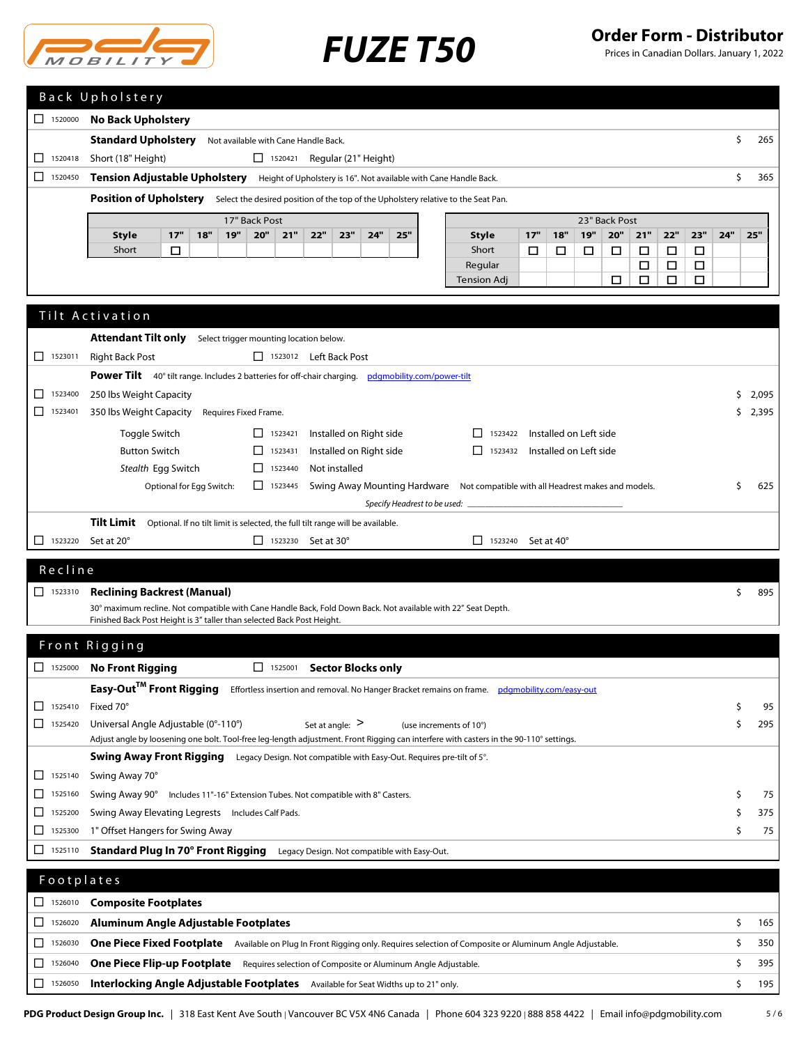

Prices in Canadian Dollars. January 1, 2022

|                                                                                                           |                                      | Back Upholstery                                                                                                              |     |     |                       |     |                                         |     |     |                         |     |   |                    |         |     |     |                        |        |     |     |     |     |     |       |
|-----------------------------------------------------------------------------------------------------------|--------------------------------------|------------------------------------------------------------------------------------------------------------------------------|-----|-----|-----------------------|-----|-----------------------------------------|-----|-----|-------------------------|-----|---|--------------------|---------|-----|-----|------------------------|--------|-----|-----|-----|-----|-----|-------|
| П.                                                                                                        | <b>No Back Upholstery</b><br>1520000 |                                                                                                                              |     |     |                       |     |                                         |     |     |                         |     |   |                    |         |     |     |                        |        |     |     |     |     |     |       |
|                                                                                                           |                                      | <b>Standard Upholstery</b>                                                                                                   |     |     |                       |     | Not available with Cane Handle Back.    |     |     |                         |     |   |                    |         |     |     |                        |        |     |     |     | \$  |     | 265   |
| ΙI                                                                                                        | 1520418                              | Short (18" Height)                                                                                                           |     |     |                       |     | $\Box$ 1520421 Regular (21" Height)     |     |     |                         |     |   |                    |         |     |     |                        |        |     |     |     |     |     |       |
| П                                                                                                         | 1520450                              | <b>Tension Adjustable Upholstery</b> Height of Upholstery is 16". Not available with Cane Handle Back.                       |     |     |                       |     |                                         |     |     |                         |     |   | Ś                  |         | 365 |     |                        |        |     |     |     |     |     |       |
| Position of Upholstery Select the desired position of the top of the Upholstery relative to the Seat Pan. |                                      |                                                                                                                              |     |     |                       |     |                                         |     |     |                         |     |   |                    |         |     |     |                        |        |     |     |     |     |     |       |
|                                                                                                           | 17" Back Post<br>23" Back Post       |                                                                                                                              |     |     |                       |     |                                         |     |     |                         |     |   |                    |         |     |     |                        |        |     |     |     |     |     |       |
|                                                                                                           |                                      | <b>Style</b>                                                                                                                 | 17" | 18" | 19"                   | 20" | 21"                                     | 22" | 23" | 24"                     | 25" |   | <b>Style</b>       |         | 17" | 18" | 19"                    | 20"    | 21" | 22" | 23" | 24" | 25" |       |
|                                                                                                           |                                      | □<br>Short<br>$\Box$<br>□<br>Short<br>□<br>□<br>□<br>□<br>□                                                                  |     |     |                       |     |                                         |     |     |                         |     |   |                    |         |     |     |                        |        |     |     |     |     |     |       |
|                                                                                                           | Regular<br>□<br>□<br>□               |                                                                                                                              |     |     |                       |     |                                         |     |     |                         |     |   |                    |         |     |     |                        |        |     |     |     |     |     |       |
|                                                                                                           |                                      |                                                                                                                              |     |     |                       |     |                                         |     |     |                         |     |   | <b>Tension Adj</b> |         |     |     |                        | $\Box$ | П   | □   | □   |     |     |       |
| Tilt Activation                                                                                           |                                      |                                                                                                                              |     |     |                       |     |                                         |     |     |                         |     |   |                    |         |     |     |                        |        |     |     |     |     |     |       |
|                                                                                                           |                                      |                                                                                                                              |     |     |                       |     |                                         |     |     |                         |     |   |                    |         |     |     |                        |        |     |     |     |     |     |       |
|                                                                                                           |                                      | <b>Attendant Tilt only</b>                                                                                                   |     |     |                       |     | Select trigger mounting location below. |     |     |                         |     |   |                    |         |     |     |                        |        |     |     |     |     |     |       |
| п                                                                                                         | 1523011                              | <b>Right Back Post</b>                                                                                                       |     |     |                       |     | □ 1523012 Left Back Post                |     |     |                         |     |   |                    |         |     |     |                        |        |     |     |     |     |     |       |
|                                                                                                           |                                      | Power Tilt 40° tilt range. Includes 2 batteries for off-chair charging. pdgmobility.com/power-tilt                           |     |     |                       |     |                                         |     |     |                         |     |   |                    |         |     |     |                        |        |     |     |     |     |     |       |
| ΙI                                                                                                        | 1523400                              | 250 lbs Weight Capacity                                                                                                      |     |     |                       |     |                                         |     |     |                         |     |   |                    |         |     |     |                        |        |     |     |     | Ś.  |     | 2,095 |
| П                                                                                                         | 1523401                              | 350 lbs Weight Capacity                                                                                                      |     |     | Requires Fixed Frame. |     |                                         |     |     |                         |     |   |                    |         |     |     |                        |        |     |     |     | Ś   |     | 2,395 |
|                                                                                                           |                                      | Toggle Switch                                                                                                                |     |     |                       | П.  | 1523421                                 |     |     | Installed on Right side |     |   | П                  | 1523422 |     |     | Installed on Left side |        |     |     |     |     |     |       |
|                                                                                                           |                                      | <b>Button Switch</b>                                                                                                         |     |     |                       | П   | 1523431                                 |     |     | Installed on Right side |     |   | П                  | 1523432 |     |     | Installed on Left side |        |     |     |     |     |     |       |
|                                                                                                           |                                      | Stealth Egg Switch<br>Not installed<br>П.<br>1523440                                                                         |     |     |                       |     |                                         |     |     |                         |     |   |                    |         |     |     |                        |        |     |     |     |     |     |       |
|                                                                                                           |                                      | Optional for Egg Switch:<br>П.<br>Swing Away Mounting Hardware Not compatible with all Headrest makes and models.<br>1523445 |     |     |                       |     |                                         |     |     |                         |     | Ŝ |                    | 625     |     |     |                        |        |     |     |     |     |     |       |
|                                                                                                           |                                      |                                                                                                                              |     |     |                       |     |                                         |     |     |                         |     |   |                    |         |     |     |                        |        |     |     |     |     |     |       |
|                                                                                                           |                                      | <b>Tilf Limit</b> . Ontianal line tilt limit is sologted the full tilt ronge will be ovailable.                              |     |     |                       |     |                                         |     |     |                         |     |   |                    |         |     |     |                        |        |     |     |     |     |     |       |

**Tilt Limit** Optional. If no tilt limit is selected, the full tilt range will be available.

 $\Box$  1523220 Set at 20°  $\Box$  1523230 Set at 30°  $\Box$  1523240 Set at 40°

## R e c l i n e

# <sup>1523310</sup> **Reclining Backrest (Manual)** \$ 895 30° maximum recline. Not compatible with Cane Handle Back, Fold Down Back. Not available with 22" Seat Depth. Finished Back Post Height is 3" taller than selected Back Post Height.

# Front Rigging

| $\Box$<br>1525000       | No Front Rigging<br><b>Sector Blocks only</b><br>1525001                                                                               |      |
|-------------------------|----------------------------------------------------------------------------------------------------------------------------------------|------|
|                         | Easy-Out™ Front Rigging<br>Effortless insertion and removal. No Hanger Bracket remains on frame. pdgmobility.com/easy-out              |      |
| 1525410                 | Fixed 70°                                                                                                                              | 95   |
| $\mathbf{L}$<br>1525420 | Universal Angle Adjustable (0°-110°)<br>Set at angle: $>$<br>(use increments of 10°)                                                   | 295  |
|                         | Adjust angle by loosening one bolt. Tool-free leg-length adjustment. Front Rigging can interfere with casters in the 90-110° settings. |      |
|                         | Swing Away Front Rigging<br>Legacy Design. Not compatible with Easy-Out. Requires pre-tilt of 5°.                                      |      |
| $\Box$<br>1525140       | Swing Away 70°                                                                                                                         |      |
| $\Box$<br>1525160       | Swing Away 90°<br>Includes 11"-16" Extension Tubes. Not compatible with 8" Casters.                                                    | 75 I |
| $\perp$<br>1525200      | Swing Away Elevating Legrests Includes Calf Pads.                                                                                      | 375  |
| $\Box$<br>1525300       | 1" Offset Hangers for Swing Away                                                                                                       | 75   |
| 1525110                 | Standard Plug In 70° Front Rigging<br>Legacy Design. Not compatible with Easy-Out.                                                     |      |

# <sup>1526010</sup> **Composite Footplates** <sup>1526020</sup> **Aluminum Angle Adjustable Footplates** \$ 165 <sup>1526030</sup> **One Piece Fixed Footplate** Available on Plug In Front Rigging only. Requires selection of Composite or Aluminum Angle Adjustable. \$ 350 <sup>1526040</sup> **One Piece Flip-up Footplate** Requires selection of Composite or Aluminum Angle Adjustable. \$ 395 <sup>1526050</sup> **Interlocking Angle Adjustable Footplates** Available for Seat Widths up to 21" only. \$ 195 **Footplates**